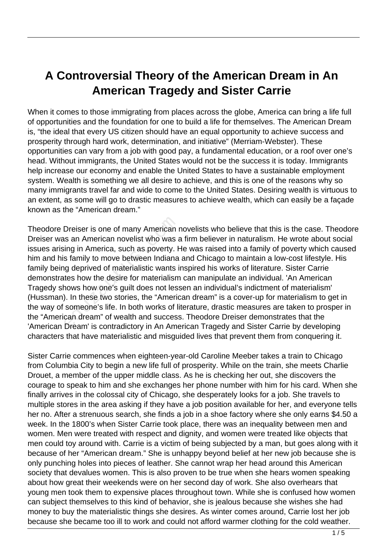## **A Controversial Theory of the American Dream in An American Tragedy and Sister Carrie**

When it comes to those immigrating from places across the globe, America can bring a life full of opportunities and the foundation for one to build a life for themselves. The American Dream is, "the ideal that every US citizen should have an equal opportunity to achieve success and prosperity through hard work, determination, and initiative" (Merriam-Webster). These opportunities can vary from a job with good pay, a fundamental education, or a roof over one's head. Without immigrants, the United States would not be the success it is today. Immigrants help increase our economy and enable the United States to have a sustainable employment system. Wealth is something we all desire to achieve, and this is one of the reasons why so many immigrants travel far and wide to come to the United States. Desiring wealth is virtuous to an extent, as some will go to drastic measures to achieve wealth, which can easily be a façade known as the "American dream."

Theodore Dreiser is one of many American novelists who believe that this is the case. Theodore Dreiser was an American novelist who was a firm believer in naturalism. He wrote about social issues arising in America, such as poverty. He was raised into a family of poverty which caused him and his family to move between Indiana and Chicago to maintain a low-cost lifestyle. His family being deprived of materialistic wants inspired his works of literature. Sister Carrie demonstrates how the desire for materialism can manipulate an individual. 'An American Tragedy shows how one's guilt does not lessen an individual's indictment of materialism' (Hussman). In these two stories, the "American dream" is a cover-up for materialism to get in the way of someone's life. In both works of literature, drastic measures are taken to prosper in the "American dream" of wealth and success. Theodore Dreiser demonstrates that the 'American Dream' is contradictory in An American Tragedy and Sister Carrie by developing characters that have materialistic and misguided lives that prevent them from conquering it. Dreiser is one of many American is<br>an American novelist who was a<br>ing in America, such as poverty. If<br>a family to move between Indiana<br>ing deprived of materialistic wants if<br>tes how the desire for materialism<br>nows how one'

Sister Carrie commences when eighteen-year-old Caroline Meeber takes a train to Chicago from Columbia City to begin a new life full of prosperity. While on the train, she meets Charlie Drouet, a member of the upper middle class. As he is checking her out, she discovers the courage to speak to him and she exchanges her phone number with him for his card. When she finally arrives in the colossal city of Chicago, she desperately looks for a job. She travels to multiple stores in the area asking if they have a job position available for her, and everyone tells her no. After a strenuous search, she finds a job in a shoe factory where she only earns \$4.50 a week. In the 1800's when Sister Carrie took place, there was an inequality between men and women. Men were treated with respect and dignity, and women were treated like objects that men could toy around with. Carrie is a victim of being subjected by a man, but goes along with it because of her "American dream." She is unhappy beyond belief at her new job because she is only punching holes into pieces of leather. She cannot wrap her head around this American society that devalues women. This is also proven to be true when she hears women speaking about how great their weekends were on her second day of work. She also overhears that young men took them to expensive places throughout town. While she is confused how women can subject themselves to this kind of behavior, she is jealous because she wishes she had money to buy the materialistic things she desires. As winter comes around, Carrie lost her job because she became too ill to work and could not afford warmer clothing for the cold weather.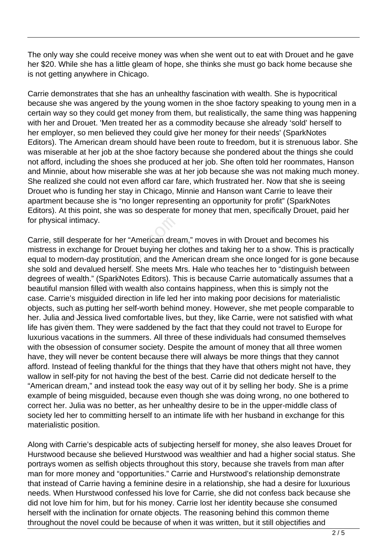The only way she could receive money was when she went out to eat with Drouet and he gave her \$20. While she has a little gleam of hope, she thinks she must go back home because she is not getting anywhere in Chicago.

Carrie demonstrates that she has an unhealthy fascination with wealth. She is hypocritical because she was angered by the young women in the shoe factory speaking to young men in a certain way so they could get money from them, but realistically, the same thing was happening with her and Drouet. 'Men treated her as a commodity because she already 'sold' herself to her employer, so men believed they could give her money for their needs' (SparkNotes Editors). The American dream should have been route to freedom, but it is strenuous labor. She was miserable at her job at the shoe factory because she pondered about the things she could not afford, including the shoes she produced at her job. She often told her roommates, Hanson and Minnie, about how miserable she was at her job because she was not making much money. She realized she could not even afford car fare, which frustrated her. Now that she is seeing Drouet who is funding her stay in Chicago, Minnie and Hanson want Carrie to leave their apartment because she is "no longer representing an opportunity for profit" (SparkNotes Editors). At this point, she was so desperate for money that men, specifically Drouet, paid her for physical intimacy.

Carrie, still desperate for her "American dream," moves in with Drouet and becomes his mistress in exchange for Drouet buying her clothes and taking her to a show. This is practically equal to modern-day prostitution, and the American dream she once longed for is gone because she sold and devalued herself. She meets Mrs. Hale who teaches her to "distinguish between degrees of wealth." (SparkNotes Editors). This is because Carrie automatically assumes that a beautiful mansion filled with wealth also contains happiness, when this is simply not the case. Carrie's misguided direction in life led her into making poor decisions for materialistic objects, such as putting her self-worth behind money. However, she met people comparable to her. Julia and Jessica lived comfortable lives, but they, like Carrie, were not satisfied with what life has given them. They were saddened by the fact that they could not travel to Europe for luxurious vacations in the summers. All three of these individuals had consumed themselves with the obsession of consumer society. Despite the amount of money that all three women have, they will never be content because there will always be more things that they cannot afford. Instead of feeling thankful for the things that they have that others might not have, they wallow in self-pity for not having the best of the best. Carrie did not dedicate herself to the "American dream," and instead took the easy way out of it by selling her body. She is a prime example of being misguided, because even though she was doing wrong, no one bothered to correct her. Julia was no better, as her unhealthy desire to be in the upper-middle class of society led her to committing herself to an intimate life with her husband in exchange for this materialistic position. al intimacy.<br>
I desperate for her "American drea<br>
i exchange for Drouet buying her odern-day prostitution, and the Ar<br>
ind devalued herself. She meets M<br>
i wealth." (SparkNotes Editors). Th<br>
inansion filled with wealth als

Along with Carrie's despicable acts of subjecting herself for money, she also leaves Drouet for Hurstwood because she believed Hurstwood was wealthier and had a higher social status. She portrays women as selfish objects throughout this story, because she travels from man after man for more money and "opportunities." Carrie and Hurstwood's relationship demonstrate that instead of Carrie having a feminine desire in a relationship, she had a desire for luxurious needs. When Hurstwood confessed his love for Carrie, she did not confess back because she did not love him for him, but for his money. Carrie lost her identity because she consumed herself with the inclination for ornate objects. The reasoning behind this common theme throughout the novel could be because of when it was written, but it still objectifies and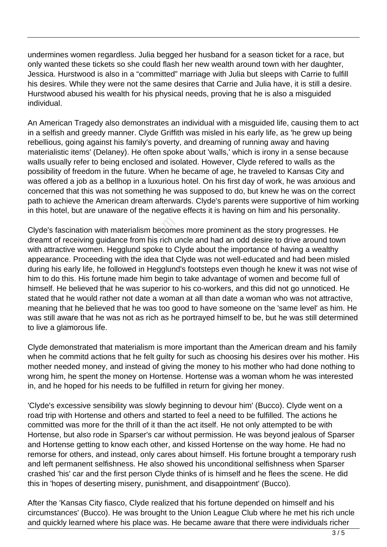undermines women regardless. Julia begged her husband for a season ticket for a race, but only wanted these tickets so she could flash her new wealth around town with her daughter, Jessica. Hurstwood is also in a "committed" marriage with Julia but sleeps with Carrie to fulfill his desires. While they were not the same desires that Carrie and Julia have, it is still a desire. Hurstwood abused his wealth for his physical needs, proving that he is also a misguided individual.

An American Tragedy also demonstrates an individual with a misguided life, causing them to act in a selfish and greedy manner. Clyde Griffith was misled in his early life, as 'he grew up being rebellious, going against his family's poverty, and dreaming of running away and having materialistic items' (Delaney). He often spoke about 'walls,' which is irony in a sense because walls usually refer to being enclosed and isolated. However, Clyde refered to walls as the possibility of freedom in the future. When he became of age, he traveled to Kansas City and was offered a job as a bellhop in a luxurious hotel. On his first day of work, he was anxious and concerned that this was not something he was supposed to do, but knew he was on the correct path to achieve the American dream afterwards. Clyde's parents were supportive of him working in this hotel, but are unaware of the negative effects it is having on him and his personality.

Clyde's fascination with materialism becomes more prominent as the story progresses. He dreamt of receiving guidance from his rich uncle and had an odd desire to drive around town with attractive women. Hegglund spoke to Clyde about the importance of having a wealthy appearance. Proceeding with the idea that Clyde was not well-educated and had been misled during his early life, he followed in Hegglund's footsteps even though he knew it was not wise of him to do this. His fortune made him begin to take advantage of women and become full of himself. He believed that he was superior to his co-workers, and this did not go unnoticed. He stated that he would rather not date a woman at all than date a woman who was not attractive, meaning that he believed that he was too good to have someone on the 'same level' as him. He was still aware that he was not as rich as he portrayed himself to be, but he was still determined to live a glamorous life. scination with materialism become<br>receiving guidance from his rich un<br>tive women. Hegglund spoke to C<br>te. Proceeding with the idea that C<br>early life, he followed in Hegglund<br>his. His fortune made him begin to<br>believed that

Clyde demonstrated that materialism is more important than the American dream and his family when he commitd actions that he felt guilty for such as choosing his desires over his mother. His mother needed money, and instead of giving the money to his mother who had done nothing to wrong him, he spent the money on Hortense. Hortense was a woman whom he was interested in, and he hoped for his needs to be fulfilled in return for giving her money.

'Clyde's excessive sensibility was slowly beginning to devour him' (Bucco). Clyde went on a road trip with Hortense and others and started to feel a need to be fulfilled. The actions he committed was more for the thrill of it than the act itself. He not only attempted to be with Hortense, but also rode in Sparser's car without permission. He was beyond jealous of Sparser and Hortense getting to know each other, and kissed Hortense on the way home. He had no remorse for others, and instead, only cares about himself. His fortune brought a temporary rush and left permanent selfishness. He also showed his unconditional selfishness when Sparser crashed 'his' car and the first person Clyde thinks of is himself and he flees the scene. He did this in 'hopes of deserting misery, punishment, and disappointment' (Bucco).

After the 'Kansas City fiasco, Clyde realized that his fortune depended on himself and his circumstances' (Bucco). He was brought to the Union League Club where he met his rich uncle and quickly learned where his place was. He became aware that there were individuals richer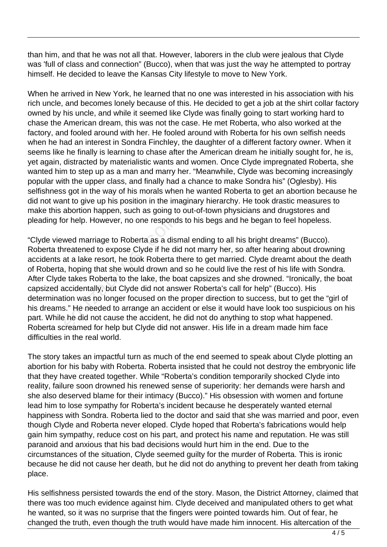than him, and that he was not all that. However, laborers in the club were jealous that Clyde was 'full of class and connection" (Bucco), when that was just the way he attempted to portray himself. He decided to leave the Kansas City lifestyle to move to New York.

When he arrived in New York, he learned that no one was interested in his association with his rich uncle, and becomes lonely because of this. He decided to get a job at the shirt collar factory owned by his uncle, and while it seemed like Clyde was finally going to start working hard to chase the American dream, this was not the case. He met Roberta, who also worked at the factory, and fooled around with her. He fooled around with Roberta for his own selfish needs when he had an interest in Sondra Finchley, the daughter of a different factory owner. When it seems like he finally is learning to chase after the American dream he initially sought for, he is, yet again, distracted by materialistic wants and women. Once Clyde impregnated Roberta, she wanted him to step up as a man and marry her. "Meanwhile, Clyde was becoming increasingly popular with the upper class, and finally had a chance to make Sondra his" (Oglesby). His selfishness got in the way of his morals when he wanted Roberta to get an abortion because he did not want to give up his position in the imaginary hierarchy. He took drastic measures to make this abortion happen, such as going to out-of-town physicians and drugstores and pleading for help. However, no one responds to his begs and he began to feel hopeless.

"Clyde viewed marriage to Roberta as a dismal ending to all his bright dreams" (Bucco). Roberta threatened to expose Clyde if he did not marry her, so after hearing about drowning accidents at a lake resort, he took Roberta there to get married. Clyde dreamt about the death of Roberta, hoping that she would drown and so he could live the rest of his life with Sondra. After Clyde takes Roberta to the lake, the boat capsizes and she drowned. "Ironically, the boat capsized accidentally, but Clyde did not answer Roberta's call for help" (Bucco). His determination was no longer focused on the proper direction to success, but to get the "girl of his dreams." He needed to arrange an accident or else it would have look too suspicious on his part. While he did not cause the accident, he did not do anything to stop what happened. Roberta screamed for help but Clyde did not answer. His life in a dream made him face difficulties in the real world. or help. However, no one responds<br>wed marriage to Roberta as a disr<br>reatened to expose Clyde if he did<br>at a lake resort, he took Roberta tl<br>, hoping that she would drown and<br>e takes Roberta to the lake, the bo<br>accidentally

The story takes an impactful turn as much of the end seemed to speak about Clyde plotting an abortion for his baby with Roberta. Roberta insisted that he could not destroy the embryonic life that they have created together. While "Roberta's condition temporarily shocked Clyde into reality, failure soon drowned his renewed sense of superiority: her demands were harsh and she also deserved blame for their intimacy (Bucco)." His obsession with women and fortune lead him to lose sympathy for Roberta's incident because he desperately wanted eternal happiness with Sondra. Roberta lied to the doctor and said that she was married and poor, even though Clyde and Roberta never eloped. Clyde hoped that Roberta's fabrications would help gain him sympathy, reduce cost on his part, and protect his name and reputation. He was still paranoid and anxious that his bad decisions would hurt him in the end. Due to the circumstances of the situation, Clyde seemed guilty for the murder of Roberta. This is ironic because he did not cause her death, but he did not do anything to prevent her death from taking place.

His selfishness persisted towards the end of the story. Mason, the District Attorney, claimed that there was too much evidence against him. Clyde deceived and manipulated others to get what he wanted, so it was no surprise that the fingers were pointed towards him. Out of fear, he changed the truth, even though the truth would have made him innocent. His altercation of the